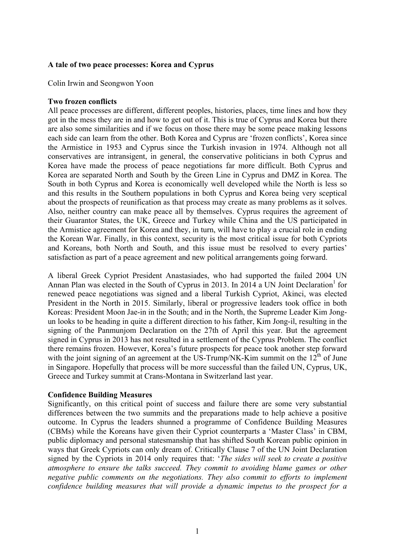# **A tale of two peace processes: Korea and Cyprus**

Colin Irwin and Seongwon Yoon

#### **Two frozen conflicts**

All peace processes are different, different peoples, histories, places, time lines and how they got in the mess they are in and how to get out of it. This is true of Cyprus and Korea but there are also some similarities and if we focus on those there may be some peace making lessons each side can learn from the other. Both Korea and Cyprus are 'frozen conflicts', Korea since the Armistice in 1953 and Cyprus since the Turkish invasion in 1974. Although not all conservatives are intransigent, in general, the conservative politicians in both Cyprus and Korea have made the process of peace negotiations far more difficult. Both Cyprus and Korea are separated North and South by the Green Line in Cyprus and DMZ in Korea. The South in both Cyprus and Korea is economically well developed while the North is less so and this results in the Southern populations in both Cyprus and Korea being very sceptical about the prospects of reunification as that process may create as many problems as it solves. Also, neither country can make peace all by themselves. Cyprus requires the agreement of their Guarantor States, the UK, Greece and Turkey while China and the US participated in the Armistice agreement for Korea and they, in turn, will have to play a crucial role in ending the Korean War. Finally, in this context, security is the most critical issue for both Cypriots and Koreans, both North and South, and this issue must be resolved to every parties' satisfaction as part of a peace agreement and new political arrangements going forward.

A liberal Greek Cypriot President Anastasiades, who had supported the failed 2004 UN Annan Plan was elected in the South of Cyprus in 2013. In 2014 a UN Joint Declaration<sup>1</sup> for renewed peace negotiations was signed and a liberal Turkish Cypriot, Akinci, was elected President in the North in 2015. Similarly, liberal or progressive leaders took office in both Koreas: President Moon Jae-in in the South; and in the North, the Supreme Leader Kim Jongun looks to be heading in quite a different direction to his father, Kim Jong-il, resulting in the signing of the Panmunjom Declaration on the 27th of April this year. But the agreement signed in Cyprus in 2013 has not resulted in a settlement of the Cyprus Problem. The conflict there remains frozen. However, Korea's future prospects for peace took another step forward with the joint signing of an agreement at the US-Trump/NK-Kim summit on the  $12<sup>th</sup>$  of June in Singapore. Hopefully that process will be more successful than the failed UN, Cyprus, UK, Greece and Turkey summit at Crans-Montana in Switzerland last year.

# **Confidence Building Measures**

Significantly, on this critical point of success and failure there are some very substantial differences between the two summits and the preparations made to help achieve a positive outcome. In Cyprus the leaders shunned a programme of Confidence Building Measures (CBMs) while the Koreans have given their Cypriot counterparts a 'Master Class' in CBM, public diplomacy and personal statesmanship that has shifted South Korean public opinion in ways that Greek Cypriots can only dream of. Critically Clause 7 of the UN Joint Declaration signed by the Cypriots in 2014 only requires that: '*The sides will seek to create a positive atmosphere to ensure the talks succeed. They commit to avoiding blame games or other negative public comments on the negotiations. They also commit to efforts to implement confidence building measures that will provide a dynamic impetus to the prospect for a*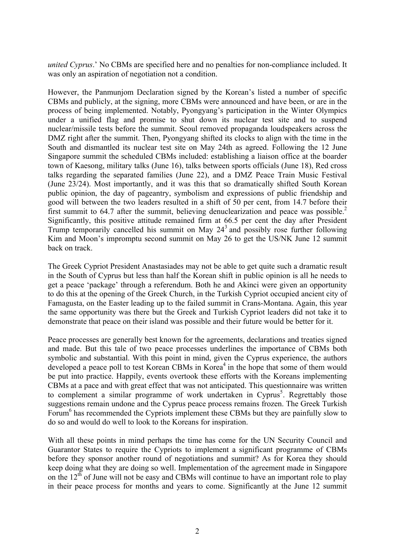*united Cyprus*.' No CBMs are specified here and no penalties for non-compliance included. It was only an aspiration of negotiation not a condition.

However, the Panmunjom Declaration signed by the Korean's listed a number of specific CBMs and publicly, at the signing, more CBMs were announced and have been, or are in the process of being implemented. Notably, Pyongyang's participation in the Winter Olympics under a unified flag and promise to shut down its nuclear test site and to suspend nuclear/missile tests before the summit. Seoul removed propaganda loudspeakers across the DMZ right after the summit. Then, Pyongyang shifted its clocks to align with the time in the South and dismantled its nuclear test site on May 24th as agreed. Following the 12 June Singapore summit the scheduled CBMs included: establishing a liaison office at the boarder town of Kaesong, military talks (June 16), talks between sports officials (June 18), Red cross talks regarding the separated families (June 22), and a DMZ Peace Train Music Festival (June 23/24). Most importantly, and it was this that so dramatically shifted South Korean public opinion, the day of pageantry, symbolism and expressions of public friendship and good will between the two leaders resulted in a shift of 50 per cent, from 14.7 before their first summit to 64.7 after the summit, believing denuclearization and peace was possible.<sup>2</sup> Significantly, this positive attitude remained firm at 66.5 per cent the day after President Trump temporarily cancelled his summit on May  $24<sup>3</sup>$  and possibly rose further following Kim and Moon's impromptu second summit on May 26 to get the US/NK June 12 summit back on track.

The Greek Cypriot President Anastasiades may not be able to get quite such a dramatic result in the South of Cyprus but less than half the Korean shift in public opinion is all he needs to get a peace 'package' through a referendum. Both he and Akinci were given an opportunity to do this at the opening of the Greek Church, in the Turkish Cypriot occupied ancient city of Famagusta, on the Easter leading up to the failed summit in Crans-Montana. Again, this year the same opportunity was there but the Greek and Turkish Cypriot leaders did not take it to demonstrate that peace on their island was possible and their future would be better for it.

Peace processes are generally best known for the agreements, declarations and treaties signed and made. But this tale of two peace processes underlines the importance of CBMs both symbolic and substantial. With this point in mind, given the Cyprus experience, the authors developed a peace poll to test Korean CBMs in Korea<sup>4</sup> in the hope that some of them would be put into practice. Happily, events overtook these efforts with the Koreans implementing CBMs at a pace and with great effect that was not anticipated. This questionnaire was written to complement a similar programme of work undertaken in Cyprus<sup>5</sup>. Regrettably those suggestions remain undone and the Cyprus peace process remains frozen. The Greek Turkish Forum<sup>6</sup> has recommended the Cypriots implement these CBMs but they are painfully slow to do so and would do well to look to the Koreans for inspiration.

With all these points in mind perhaps the time has come for the UN Security Council and Guarantor States to require the Cypriots to implement a significant programme of CBMs before they sponsor another round of negotiations and summit? As for Korea they should keep doing what they are doing so well. Implementation of the agreement made in Singapore on the  $12<sup>th</sup>$  of June will not be easy and CBMs will continue to have an important role to play in their peace process for months and years to come. Significantly at the June 12 summit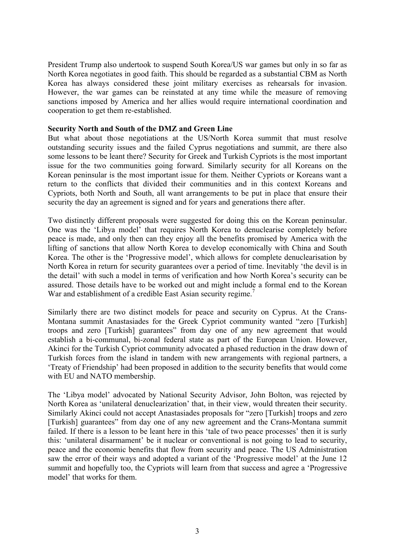President Trump also undertook to suspend South Korea/US war games but only in so far as North Korea negotiates in good faith. This should be regarded as a substantial CBM as North Korea has always considered these joint military exercises as rehearsals for invasion. However, the war games can be reinstated at any time while the measure of removing sanctions imposed by America and her allies would require international coordination and cooperation to get them re-established.

# **Security North and South of the DMZ and Green Line**

But what about those negotiations at the US/North Korea summit that must resolve outstanding security issues and the failed Cyprus negotiations and summit, are there also some lessons to be leant there? Security for Greek and Turkish Cypriots is the most important issue for the two communities going forward. Similarly security for all Koreans on the Korean peninsular is the most important issue for them. Neither Cypriots or Koreans want a return to the conflicts that divided their communities and in this context Koreans and Cypriots, both North and South, all want arrangements to be put in place that ensure their security the day an agreement is signed and for years and generations there after.

Two distinctly different proposals were suggested for doing this on the Korean peninsular. One was the 'Libya model' that requires North Korea to denuclearise completely before peace is made, and only then can they enjoy all the benefits promised by America with the lifting of sanctions that allow North Korea to develop economically with China and South Korea. The other is the 'Progressive model', which allows for complete denuclearisation by North Korea in return for security guarantees over a period of time. Inevitably 'the devil is in the detail' with such a model in terms of verification and how North Korea's security can be assured. Those details have to be worked out and might include a formal end to the Korean War and establishment of a credible East Asian security regime.<sup>7</sup>

Similarly there are two distinct models for peace and security on Cyprus. At the Crans-Montana summit Anastasiades for the Greek Cypriot community wanted "zero [Turkish] troops and zero [Turkish] guarantees" from day one of any new agreement that would establish a bi-communal, bi-zonal federal state as part of the European Union. However, Akinci for the Turkish Cypriot community advocated a phased reduction in the draw down of Turkish forces from the island in tandem with new arrangements with regional partners, a 'Treaty of Friendship' had been proposed in addition to the security benefits that would come with EU and NATO membership.

The 'Libya model' advocated by National Security Advisor, John Bolton, was rejected by North Korea as 'unilateral denuclearization' that, in their view, would threaten their security. Similarly Akinci could not accept Anastasiades proposals for "zero [Turkish] troops and zero [Turkish] guarantees" from day one of any new agreement and the Crans-Montana summit failed. If there is a lesson to be leant here in this 'tale of two peace processes' then it is surly this: 'unilateral disarmament' be it nuclear or conventional is not going to lead to security, peace and the economic benefits that flow from security and peace. The US Administration saw the error of their ways and adopted a variant of the 'Progressive model' at the June 12 summit and hopefully too, the Cypriots will learn from that success and agree a 'Progressive model' that works for them.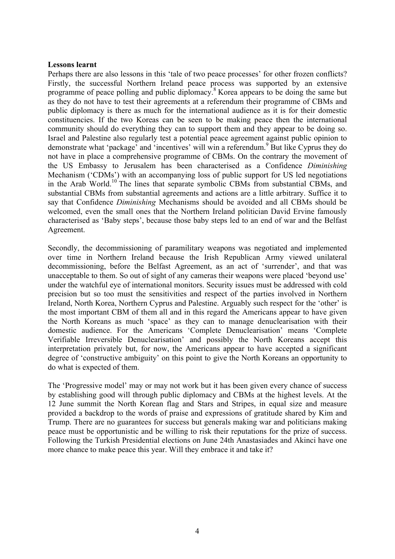#### **Lessons learnt**

Perhaps there are also lessons in this 'tale of two peace processes' for other frozen conflicts? Firstly, the successful Northern Ireland peace process was supported by an extensive programme of peace polling and public diplomacy.<sup>8</sup> Korea appears to be doing the same but as they do not have to test their agreements at a referendum their programme of CBMs and public diplomacy is there as much for the international audience as it is for their domestic constituencies. If the two Koreas can be seen to be making peace then the international community should do everything they can to support them and they appear to be doing so. Israel and Palestine also regularly test a potential peace agreement against public opinion to demonstrate what 'package' and 'incentives' will win a referendum. <sup>9</sup> But like Cyprus they do not have in place a comprehensive programme of CBMs. On the contrary the movement of the US Embassy to Jerusalem has been characterised as a Confidence *Diminishing* Mechanism ('CDMs') with an accompanying loss of public support for US led negotiations in the Arab World.<sup>10</sup> The lines that separate symbolic CBMs from substantial CBMs, and substantial CBMs from substantial agreements and actions are a little arbitrary. Suffice it to say that Confidence *Diminishing* Mechanisms should be avoided and all CBMs should be welcomed, even the small ones that the Northern Ireland politician David Ervine famously characterised as 'Baby steps', because those baby steps led to an end of war and the Belfast Agreement.

Secondly, the decommissioning of paramilitary weapons was negotiated and implemented over time in Northern Ireland because the Irish Republican Army viewed unilateral decommissioning, before the Belfast Agreement, as an act of 'surrender', and that was unacceptable to them. So out of sight of any cameras their weapons were placed 'beyond use' under the watchful eye of international monitors. Security issues must be addressed with cold precision but so too must the sensitivities and respect of the parties involved in Northern Ireland, North Korea, Northern Cyprus and Palestine. Arguably such respect for the 'other' is the most important CBM of them all and in this regard the Americans appear to have given the North Koreans as much 'space' as they can to manage denuclearisation with their domestic audience. For the Americans 'Complete Denuclearisation' means 'Complete Verifiable Irreversible Denuclearisation' and possibly the North Koreans accept this interpretation privately but, for now, the Americans appear to have accepted a significant degree of 'constructive ambiguity' on this point to give the North Koreans an opportunity to do what is expected of them.

The 'Progressive model' may or may not work but it has been given every chance of success by establishing good will through public diplomacy and CBMs at the highest levels. At the 12 June summit the North Korean flag and Stars and Stripes, in equal size and measure provided a backdrop to the words of praise and expressions of gratitude shared by Kim and Trump. There are no guarantees for success but generals making war and politicians making peace must be opportunistic and be willing to risk their reputations for the prize of success. Following the Turkish Presidential elections on June 24th Anastasiades and Akinci have one more chance to make peace this year. Will they embrace it and take it?